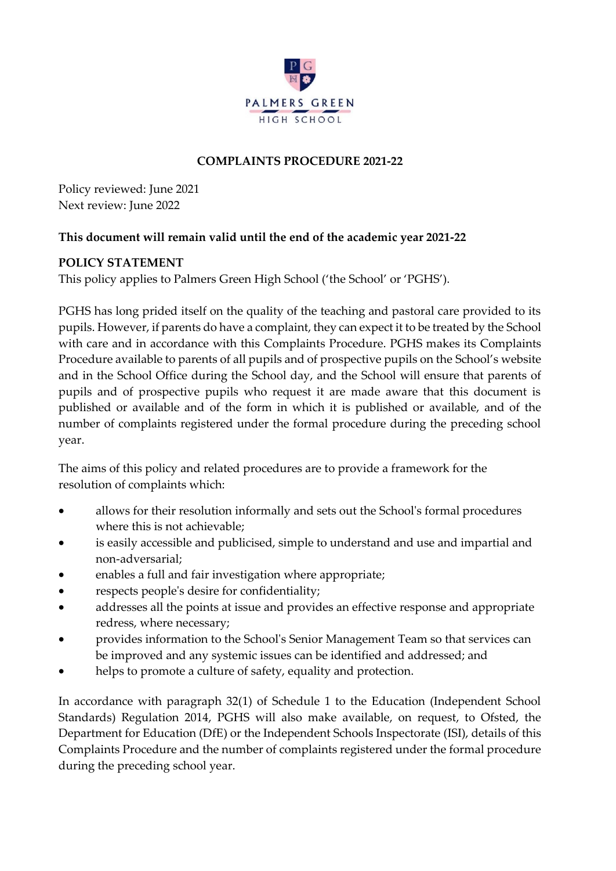

## **COMPLAINTS PROCEDURE 2021-22**

Policy reviewed: June 2021 Next review: June 2022

## **This document will remain valid until the end of the academic year 2021-22**

## **POLICY STATEMENT**

This policy applies to Palmers Green High School ('the School' or 'PGHS').

PGHS has long prided itself on the quality of the teaching and pastoral care provided to its pupils. However, if parents do have a complaint, they can expect it to be treated by the School with care and in accordance with this Complaints Procedure. PGHS makes its Complaints Procedure available to parents of all pupils and of prospective pupils on the School's website and in the School Office during the School day, and the School will ensure that parents of pupils and of prospective pupils who request it are made aware that this document is published or available and of the form in which it is published or available, and of the number of complaints registered under the formal procedure during the preceding school year.

The aims of this policy and related procedures are to provide a framework for the resolution of complaints which:

- allows for their resolution informally and sets out the School's formal procedures where this is not achievable;
- is easily accessible and publicised, simple to understand and use and impartial and non-adversarial;
- enables a full and fair investigation where appropriate;
- respects people's desire for confidentiality;
- addresses all the points at issue and provides an effective response and appropriate redress, where necessary;
- provides information to the School's Senior Management Team so that services can be improved and any systemic issues can be identified and addressed; and
- helps to promote a culture of safety, equality and protection.

In accordance with paragraph 32(1) of Schedule 1 to the Education (Independent School Standards) Regulation 2014, PGHS will also make available, on request, to Ofsted, the Department for Education (DfE) or the Independent Schools Inspectorate (ISI), details of this Complaints Procedure and the number of complaints registered under the formal procedure during the preceding school year.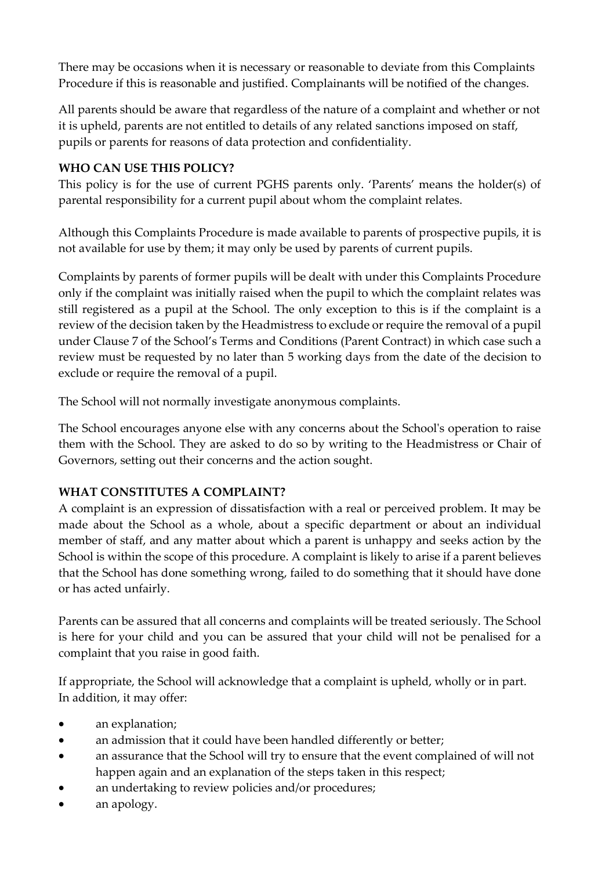There may be occasions when it is necessary or reasonable to deviate from this Complaints Procedure if this is reasonable and justified. Complainants will be notified of the changes.

All parents should be aware that regardless of the nature of a complaint and whether or not it is upheld, parents are not entitled to details of any related sanctions imposed on staff, pupils or parents for reasons of data protection and confidentiality.

## **WHO CAN USE THIS POLICY?**

This policy is for the use of current PGHS parents only. 'Parents' means the holder(s) of parental responsibility for a current pupil about whom the complaint relates.

Although this Complaints Procedure is made available to parents of prospective pupils, it is not available for use by them; it may only be used by parents of current pupils.

Complaints by parents of former pupils will be dealt with under this Complaints Procedure only if the complaint was initially raised when the pupil to which the complaint relates was still registered as a pupil at the School. The only exception to this is if the complaint is a review of the decision taken by the Headmistress to exclude or require the removal of a pupil under Clause 7 of the School's Terms and Conditions (Parent Contract) in which case such a review must be requested by no later than 5 working days from the date of the decision to exclude or require the removal of a pupil.

The School will not normally investigate anonymous complaints.

The School encourages anyone else with any concerns about the School's operation to raise them with the School. They are asked to do so by writing to the Headmistress or Chair of Governors, setting out their concerns and the action sought.

# **WHAT CONSTITUTES A COMPLAINT?**

A complaint is an expression of dissatisfaction with a real or perceived problem. It may be made about the School as a whole, about a specific department or about an individual member of staff, and any matter about which a parent is unhappy and seeks action by the School is within the scope of this procedure. A complaint is likely to arise if a parent believes that the School has done something wrong, failed to do something that it should have done or has acted unfairly.

Parents can be assured that all concerns and complaints will be treated seriously. The School is here for your child and you can be assured that your child will not be penalised for a complaint that you raise in good faith.

If appropriate, the School will acknowledge that a complaint is upheld, wholly or in part. In addition, it may offer:

- an explanation;
- an admission that it could have been handled differently or better;
- an assurance that the School will try to ensure that the event complained of will not happen again and an explanation of the steps taken in this respect;
- an undertaking to review policies and/or procedures;
- an apology.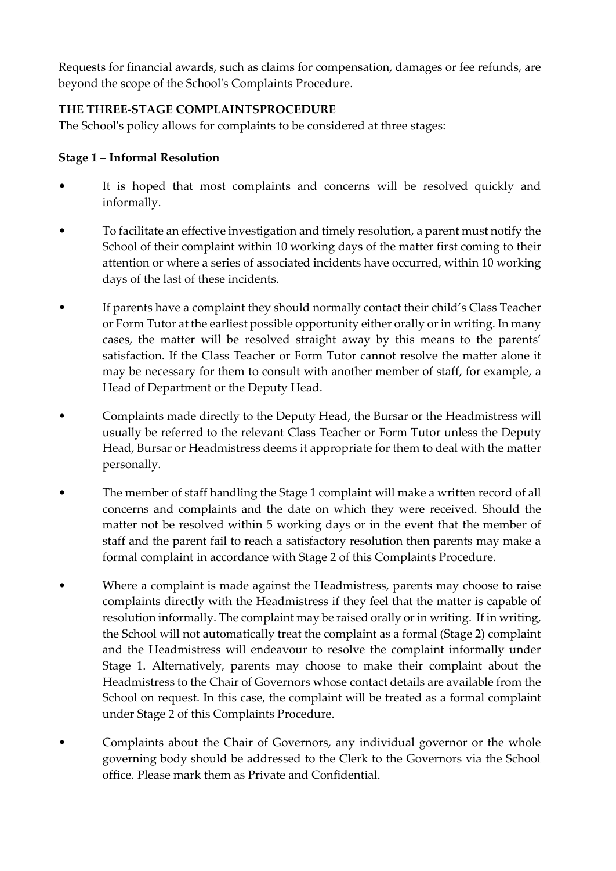Requests for financial awards, such as claims for compensation, damages or fee refunds, are beyond the scope of the School's Complaints Procedure.

## **THE THREE-STAGE COMPLAINTSPROCEDURE**

The School's policy allows for complaints to be considered at three stages:

#### **Stage 1 – Informal Resolution**

- It is hoped that most complaints and concerns will be resolved quickly and informally.
- To facilitate an effective investigation and timely resolution, a parent must notify the School of their complaint within 10 working days of the matter first coming to their attention or where a series of associated incidents have occurred, within 10 working days of the last of these incidents.
- If parents have a complaint they should normally contact their child's Class Teacher or Form Tutor at the earliest possible opportunity either orally or in writing. In many cases, the matter will be resolved straight away by this means to the parents' satisfaction. If the Class Teacher or Form Tutor cannot resolve the matter alone it may be necessary for them to consult with another member of staff, for example, a Head of Department or the Deputy Head.
- Complaints made directly to the Deputy Head, the Bursar or the Headmistress will usually be referred to the relevant Class Teacher or Form Tutor unless the Deputy Head, Bursar or Headmistress deems it appropriate for them to deal with the matter personally.
- The member of staff handling the Stage 1 complaint will make a written record of all concerns and complaints and the date on which they were received. Should the matter not be resolved within 5 working days or in the event that the member of staff and the parent fail to reach a satisfactory resolution then parents may make a formal complaint in accordance with Stage 2 of this Complaints Procedure.
- Where a complaint is made against the Headmistress, parents may choose to raise complaints directly with the Headmistress if they feel that the matter is capable of resolution informally. The complaint may be raised orally or in writing. If in writing, the School will not automatically treat the complaint as a formal (Stage 2) complaint and the Headmistress will endeavour to resolve the complaint informally under Stage 1. Alternatively, parents may choose to make their complaint about the Headmistress to the Chair of Governors whose contact details are available from the School on request. In this case, the complaint will be treated as a formal complaint under Stage 2 of this Complaints Procedure.
- Complaints about the Chair of Governors, any individual governor or the whole governing body should be addressed to the Clerk to the Governors via the School office. Please mark them as Private and Confidential.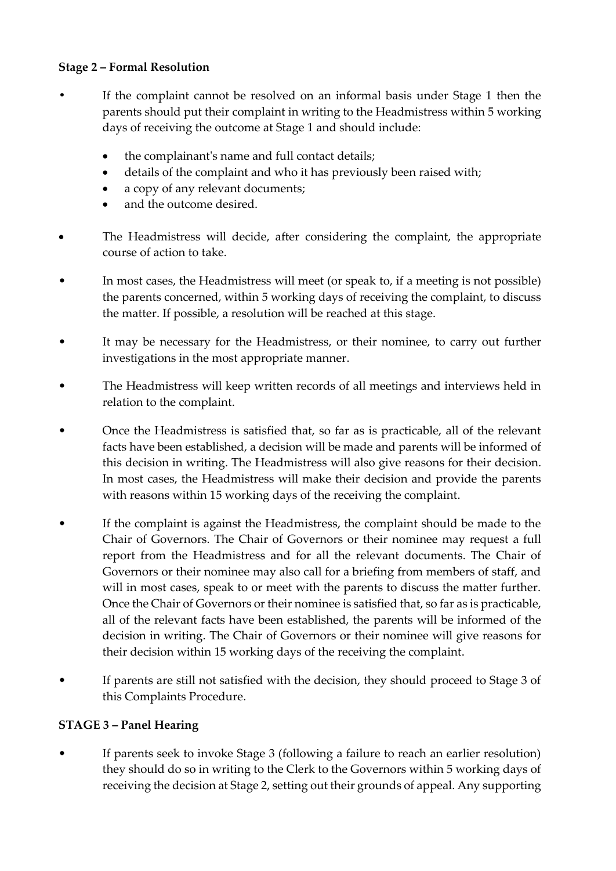#### **Stage 2 – Formal Resolution**

- **•** If the complaint cannot be resolved on an informal basis under Stage 1 then the parents should put their complaint in writing to the Headmistress within 5 working days of receiving the outcome at Stage 1 and should include:
	- the complainant's name and full contact details;
	- details of the complaint and who it has previously been raised with;
	- a copy of any relevant documents;
	- and the outcome desired.
- The Headmistress will decide, after considering the complaint, the appropriate course of action to take.
- In most cases, the Headmistress will meet (or speak to, if a meeting is not possible) the parents concerned, within 5 working days of receiving the complaint, to discuss the matter. If possible, a resolution will be reached at this stage.
- It may be necessary for the Headmistress, or their nominee, to carry out further investigations in the most appropriate manner.
- The Headmistress will keep written records of all meetings and interviews held in relation to the complaint.
- Once the Headmistress is satisfied that, so far as is practicable, all of the relevant facts have been established, a decision will be made and parents will be informed of this decision in writing. The Headmistress will also give reasons for their decision. In most cases, the Headmistress will make their decision and provide the parents with reasons within 15 working days of the receiving the complaint.
- If the complaint is against the Headmistress, the complaint should be made to the Chair of Governors. The Chair of Governors or their nominee may request a full report from the Headmistress and for all the relevant documents. The Chair of Governors or their nominee may also call for a briefing from members of staff, and will in most cases, speak to or meet with the parents to discuss the matter further. Once the Chair of Governors or their nominee is satisfied that, so far as is practicable, all of the relevant facts have been established, the parents will be informed of the decision in writing. The Chair of Governors or their nominee will give reasons for their decision within 15 working days of the receiving the complaint.
- If parents are still not satisfied with the decision, they should proceed to Stage 3 of this Complaints Procedure.

## **STAGE 3 – Panel Hearing**

If parents seek to invoke Stage 3 (following a failure to reach an earlier resolution) they should do so in writing to the Clerk to the Governors within 5 working days of receiving the decision at Stage 2, setting out their grounds of appeal. Any supporting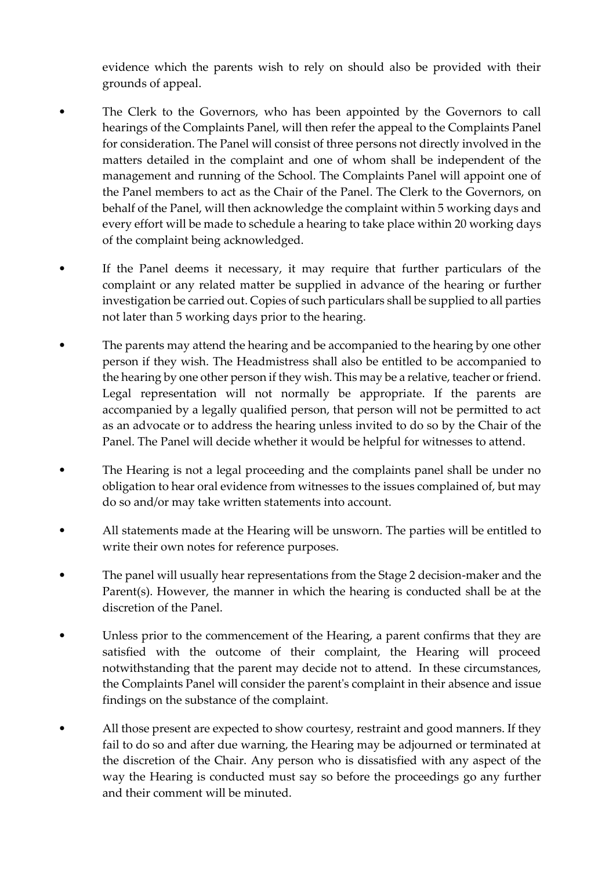evidence which the parents wish to rely on should also be provided with their grounds of appeal.

- The Clerk to the Governors, who has been appointed by the Governors to call hearings of the Complaints Panel, will then refer the appeal to the Complaints Panel for consideration. The Panel will consist of three persons not directly involved in the matters detailed in the complaint and one of whom shall be independent of the management and running of the School. The Complaints Panel will appoint one of the Panel members to act as the Chair of the Panel. The Clerk to the Governors, on behalf of the Panel, will then acknowledge the complaint within 5 working days and every effort will be made to schedule a hearing to take place within 20 working days of the complaint being acknowledged.
- If the Panel deems it necessary, it may require that further particulars of the complaint or any related matter be supplied in advance of the hearing or further investigation be carried out. Copies of such particulars shall be supplied to all parties not later than 5 working days prior to the hearing.
- The parents may attend the hearing and be accompanied to the hearing by one other person if they wish. The Headmistress shall also be entitled to be accompanied to the hearing by one other person if they wish. This may be a relative, teacher or friend. Legal representation will not normally be appropriate. If the parents are accompanied by a legally qualified person, that person will not be permitted to act as an advocate or to address the hearing unless invited to do so by the Chair of the Panel. The Panel will decide whether it would be helpful for witnesses to attend.
- The Hearing is not a legal proceeding and the complaints panel shall be under no obligation to hear oral evidence from witnesses to the issues complained of, but may do so and/or may take written statements into account.
- All statements made at the Hearing will be unsworn. The parties will be entitled to write their own notes for reference purposes.
- The panel will usually hear representations from the Stage 2 decision-maker and the Parent(s). However, the manner in which the hearing is conducted shall be at the discretion of the Panel.
- Unless prior to the commencement of the Hearing, a parent confirms that they are satisfied with the outcome of their complaint, the Hearing will proceed notwithstanding that the parent may decide not to attend. In these circumstances, the Complaints Panel will consider the parent's complaint in their absence and issue findings on the substance of the complaint.
- All those present are expected to show courtesy, restraint and good manners. If they fail to do so and after due warning, the Hearing may be adjourned or terminated at the discretion of the Chair. Any person who is dissatisfied with any aspect of the way the Hearing is conducted must say so before the proceedings go any further and their comment will be minuted.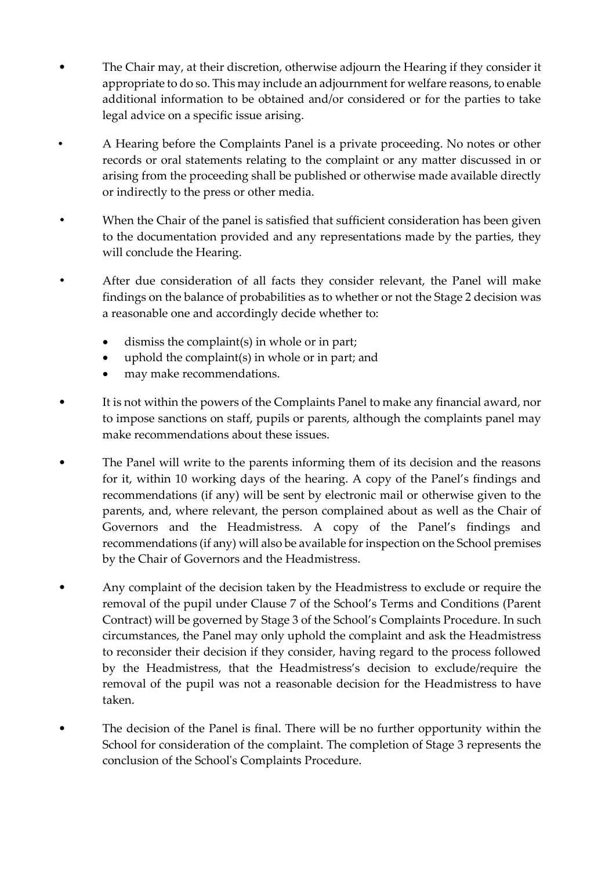- The Chair may, at their discretion, otherwise adjourn the Hearing if they consider it appropriate to do so. This may include an adjournment for welfare reasons, to enable additional information to be obtained and/or considered or for the parties to take legal advice on a specific issue arising.
- **•** A Hearing before the Complaints Panel is a private proceeding. No notes or other records or oral statements relating to the complaint or any matter discussed in or arising from the proceeding shall be published or otherwise made available directly or indirectly to the press or other media.
- **•** When the Chair of the panel is satisfied that sufficient consideration has been given to the documentation provided and any representations made by the parties, they will conclude the Hearing.
- **•** After due consideration of all facts they consider relevant, the Panel will make findings on the balance of probabilities as to whether or not the Stage 2 decision was a reasonable one and accordingly decide whether to:
	- dismiss the complaint(s) in whole or in part;
	- uphold the complaint(s) in whole or in part; and
	- may make recommendations.
- It is not within the powers of the Complaints Panel to make any financial award, nor to impose sanctions on staff, pupils or parents, although the complaints panel may make recommendations about these issues.
- The Panel will write to the parents informing them of its decision and the reasons for it, within 10 working days of the hearing. A copy of the Panel's findings and recommendations (if any) will be sent by electronic mail or otherwise given to the parents, and, where relevant, the person complained about as well as the Chair of Governors and the Headmistress. A copy of the Panel's findings and recommendations (if any) will also be available for inspection on the School premises by the Chair of Governors and the Headmistress.
- Any complaint of the decision taken by the Headmistress to exclude or require the removal of the pupil under Clause 7 of the School's Terms and Conditions (Parent Contract) will be governed by Stage 3 of the School's Complaints Procedure. In such circumstances, the Panel may only uphold the complaint and ask the Headmistress to reconsider their decision if they consider, having regard to the process followed by the Headmistress, that the Headmistress's decision to exclude/require the removal of the pupil was not a reasonable decision for the Headmistress to have taken.
- The decision of the Panel is final. There will be no further opportunity within the School for consideration of the complaint. The completion of Stage 3 represents the conclusion of the School's Complaints Procedure.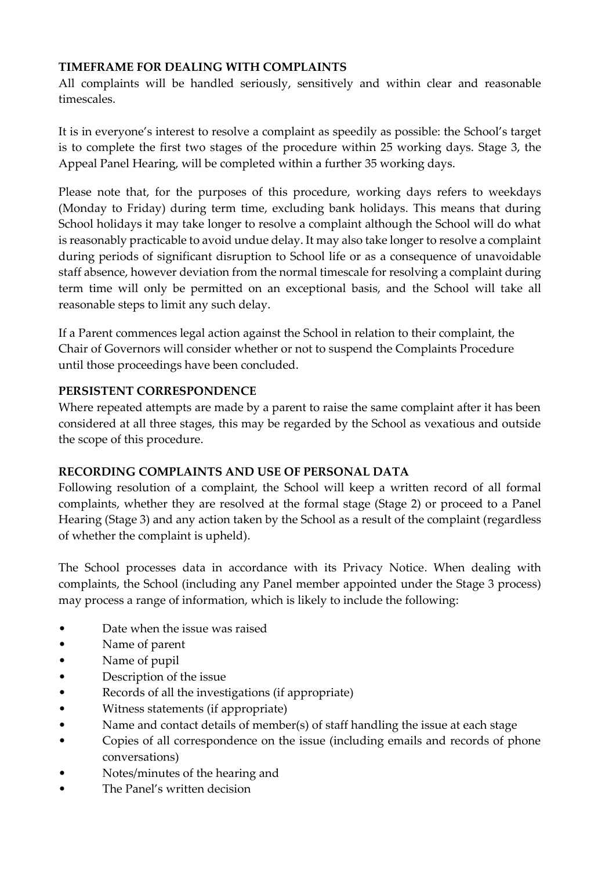## **TIMEFRAME FOR DEALING WITH COMPLAINTS**

All complaints will be handled seriously, sensitively and within clear and reasonable timescales.

It is in everyone's interest to resolve a complaint as speedily as possible: the School's target is to complete the first two stages of the procedure within 25 working days. Stage 3, the Appeal Panel Hearing, will be completed within a further 35 working days.

Please note that, for the purposes of this procedure, working days refers to weekdays (Monday to Friday) during term time, excluding bank holidays. This means that during School holidays it may take longer to resolve a complaint although the School will do what is reasonably practicable to avoid undue delay. It may also take longer to resolve a complaint during periods of significant disruption to School life or as a consequence of unavoidable staff absence, however deviation from the normal timescale for resolving a complaint during term time will only be permitted on an exceptional basis, and the School will take all reasonable steps to limit any such delay.

If a Parent commences legal action against the School in relation to their complaint, the Chair of Governors will consider whether or not to suspend the Complaints Procedure until those proceedings have been concluded.

## **PERSISTENT CORRESPONDENCE**

Where repeated attempts are made by a parent to raise the same complaint after it has been considered at all three stages, this may be regarded by the School as vexatious and outside the scope of this procedure.

## **RECORDING COMPLAINTS AND USE OF PERSONAL DATA**

Following resolution of a complaint, the School will keep a written record of all formal complaints, whether they are resolved at the formal stage (Stage 2) or proceed to a Panel Hearing (Stage 3) and any action taken by the School as a result of the complaint (regardless of whether the complaint is upheld).

The School processes data in accordance with its Privacy Notice. When dealing with complaints, the School (including any Panel member appointed under the Stage 3 process) may process a range of information, which is likely to include the following:

- Date when the issue was raised
- Name of parent
- Name of pupil
- Description of the issue
- Records of all the investigations (if appropriate)
- Witness statements (if appropriate)
- Name and contact details of member(s) of staff handling the issue at each stage
- Copies of all correspondence on the issue (including emails and records of phone conversations)
- Notes/minutes of the hearing and
- The Panel's written decision